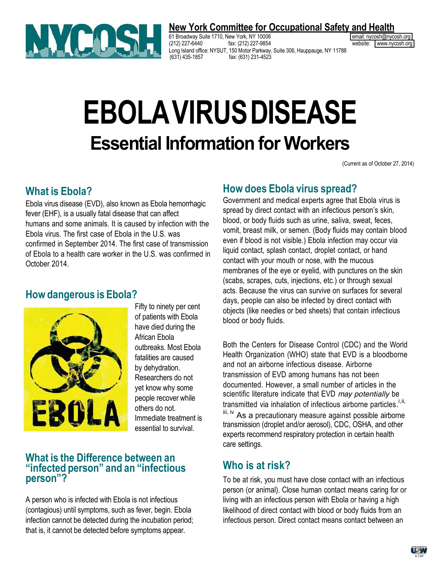

#### **New York Committee for Occupational Safety and Health**

61 Broadway Suite 1710, New York, NY 10006 email: [nycosh@nycosh.org](mailto:nycosh@nycosh.org) email: nycosh@nycosh.org (212) 227-6440 fax: (212) 227-9854 website: [www.nycosh.org](http://www.nycosh.org/) Long Island office: NYSUT, 150 Motor Parkway, Suite 306, Hauppauge, NY 11788 fax: (631) 231-4523

# **EBOLAVIRUSDISEASE Essential Information for Workers**

(Current as of October 27, 2014)

#### **What is Ebola?**

Ebola virus disease (EVD), also known as Ebola hemorrhagic fever (EHF), is a usually fatal disease that can affect humans and some animals. It is caused by infection with the Ebola virus. The first case of Ebola in the U.S. was confirmed in September 2014. The first case of transmission of Ebola to a health care worker in the U.S. was confirmed in October 2014.

### **Howdangerous is Ebola?**



Fifty to ninety per cent of patients with Ebola have died during the African Ebola outbreaks. Most Ebola fatalities are caused by dehydration. Researchers do not yet know why some people recover while others do not. Immediate treatment is essential to survival.

#### **What is the Difference between an** *<u>"infected person" and an "infectious*</u> person"?

A person who is infected with Ebola is not infectious (contagious) until symptoms, such as fever, begin. Ebola infection cannot be detected during the incubation period; that is, it cannot be detected before symptoms appear.

#### **How does Ebola virus spread?**

Government and medical experts agree that Ebola virus is spread by direct contact with an infectious person's skin, blood, or body fluids such as urine, saliva, sweat, feces, vomit, breast milk, or semen. (Body fluids may contain blood even if blood is not visible.) Ebola infection may occur via liquid contact, splash contact, droplet contact, or hand contact with your mouth or nose, with the mucous membranes of the eye or eyelid, with punctures on the skin (scabs, scrapes, cuts, injections, etc.) or through sexual acts. Because the virus can survive on surfaces for several days, people can also be infected by direct contact with objects (like needles or bed sheets) that contain infectious blood or body fluids.

Both the Centers for Disease Control (CDC) and the World Health Organization (WHO) state that EVD is a bloodborne and not an airborne infectious disease. Airborne transmission of EVD among humans has not been documented. However, a small number of articles in the scientific literature indicate that EVD *may potentially* be transmitted via inhalation of infectious airborne particles.<sup>i,ii,</sup> iii, iv As a precautionary measure against possible airborne transmission (droplet and/or aerosol), CDC, OSHA, and other experts recommend respiratory protection in certain health care settings.

### **Who is at risk?**

To be at risk, you must have close contact with an infectious person (or animal). Close human contact means caring for or living with an infectious person with Ebola or having a high likelihood of direct contact with blood or body fluids from an infectious person. Direct contact means contact between an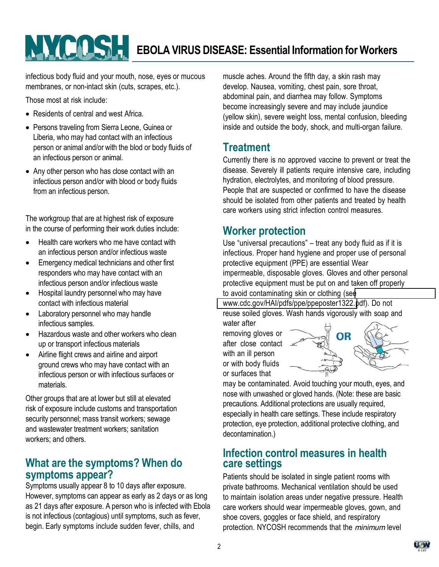## NYCOSH **EBOLA VIRUS DISEASE: Essential Information for Workers**

infectious body fluid and your mouth, nose, eyes or mucous membranes, or non-intact skin (cuts, scrapes, etc.).

Those most at risk include:

- Residents of central and west Africa.
- Persons traveling from Sierra Leone, Guinea or Liberia, who may had contact with an infectious person or animal and/or with the blod or body fluids of an infectious person or animal.
- Any other person who has close contact with an infectious person and/or with blood or body fluids from an infectious person.

The workgroup that are at highest risk of exposure in the course of performing their work duties include:

- Health care workers who me have contact with an infectious person and/or infectious waste
- Emergency medical technicians and other first responders who may have contact with an infectious person and/or infectious waste
- Hospital laundry personnel who may have contact with infectious material
- Laboratory personnel who may handle infectious samples.
- Hazardous waste and other workers who clean up!or transport infectious materials
- Airline flight crews and airline and airport ground crews who may have contact with an infectious person or with infectious surfaces or materials.

Other groups that are at lower but still at elevated risk of exposure include customs and transportation security personnel; mass transit workers; sewage and wastewater treatment workers; sanitation workers: and others.

### **What are the symptoms? When do symptoms appear?**

Symptoms usually appear 8 to 10 days after exposure. However, symptoms can appear as early as 2 days or as long as 21 days after exposure. A person who is infected with Ebola is not infectious (contagious) until symptoms, such as fever, begin. Early symptoms include sudden fever, chills, and

muscle aches. Around the fifth day, a skin rash may develop. Nausea, vomiting, chest pain, sore throat, abdominal pain, and diarrhea may follow. Symptoms become increasingly severe and may include jaundice (yellow skin), severe weight loss, mental confusion, bleeding inside and outside the body, shock, and multi-organ failure.

## **Treatment**

Currently there is no approved vaccine to prevent or treat the disease. Severely ill patients require intensive care, including hydration, electrolytes, and monitoring of blood pressure. People that are suspected or confirmed to have the disease should be isolated from other patients and treated by health care workers using strict infection control measures.

### **Worker protection**

Use "universal precautions"  $-$  treat any body fluid as if it is infectious. Proper hand hygiene and proper use of personal protective equipment (PPE) are essential Wear impermeable, disposable gloves. Gloves and other personal protective equipment must be put on and taken off properly to avoid contaminating skin or clothing (se[e](http://www.cdc.gov/HAI/pdfs/ppe/ppeposter1322)

[www.cdc.gov/HAI/pdfs/ppe/ppeposter1322.p](http://www.cdc.gov/HAI/pdfs/ppe/ppeposter1322)df). Do not reuse soiled gloves. Wash hands vigorously with soap and

water after removing gloves or after close contact with an ill person or with body fluids or surfaces that



may be contaminated. Avoid touching your mouth, eyes, and nose with unwashed or gloved hands. (Note: these are basic precautions. Additional protections are usually required, especially in health care settings. These include respiratory protection, eye protection, additional protective clothing, and decontamination.)

#### **Infection control measures in health care settings**

Patients should be isolated in single patient rooms with private bathrooms. Mechanical ventilation should be used to maintain isolation areas under negative pressure. Health care workers should wear impermeable gloves, gown, and shoe covers, goggles or face shield, and respiratory protection. NYCOSH recommends that the *minimum* level

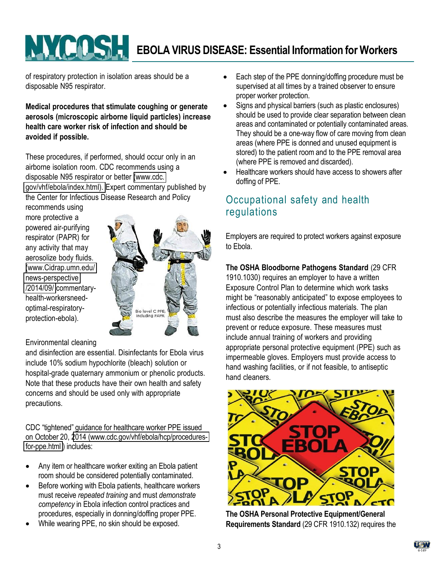## **EBOLA VIRUS DISEASE: Essential Information for Workers**

of respiratory protection in isolation areas should be a disposable N95 respirator.

#### **Medical procedures that stimulate coughing or generate aerosols (microscopic airborne liquid particles) increase health care worker risk of infection and should be avoided if possible.**

These procedures, if performed, should occur only in an airborne isolation room. CDC recommends using a disposable N95 respirator or better [\(www.cdc.](http://www.cdc.gov/vhf/ebola/index.html)) [gov/vhf/ebola/index.html\).](http://www.cdc.gov/vhf/ebola/index.html)) Expert commentary published by the Center for Infectious Disease Research and Policy

recommends using more protective a powered air-purifying respirator (PAPR) for any activity that may aerosolize body fluids. [\(www.Cidrap.umn.edu/](http://www.cidrap.umn.edu/news-perspective/2014/09/) news-perspective [/2014/09/](http://www.cidrap.umn.edu/news-perspective/2014/09/) commentaryhealth-workersneedoptimal-respiratoryprotection-ebola).



#### Environmental cleaning

and disinfection are essential. Disinfectants for Ebola virus include 10% sodium hypochlorite (bleach) solution or hospital-grade quaternary ammonium or phenolic products. Note that these products have their own health and safety concerns and should be used only with appropriate precautions.

CDC "tightened" guidance for healthcare worker PPE issued on October 20, 2014 (www.cdc.gov/vhf/ebola/hcp/proceduresfor-ppe.html ) includes:

- Any item or healthcare worker exiting an Ebola patient room should be considered potentially contaminated.
- Before working with Ebola patients, healthcare workers must receive *repeated training* and must *demonstrate competency* in!Ebola infection control practices and procedures, especially in donning/doffing proper PPE.
- While wearing PPE, no skin should be exposed.
- Each step of the PPE donning/doffing procedure must be supervised at all times by a trained observer to ensure proper worker protection.
- Signs and physical barriers (such as plastic enclosures) should be used to provide clear separation between clean areas and contaminated or potentially contaminated areas. They should be a one-way flow of care moving from clean areas (where PPE is donned and unused equipment is stored) to the patient room and to the PPE removal area (where PPE is removed and discarded).
- Healthcare workers should have access to showers after doffing of PPE.

### Occupational safety and health regulations

Employers are required to protect workers against exposure to Ebola.

#### **The OSHA Bloodborne Pathogens Standard** (29 CFR

1910.1030) requires an employer to have a written Exposure Control Plan to determine which work tasks might be "reasonably anticipated" to expose employees to infectious or potentially infectious materials. The plan must also describe the measures the employer will take to prevent or reduce exposure. These measures must include annual training of workers and providing appropriate personal protective equipment (PPE) such as impermeable gloves. Employers must provide access to hand washing facilities, or if not feasible, to antiseptic hand cleaners.



**The OSHA Personal Protective Equipment/General Requirements Standard** (29 CFR 1910.132) requires the